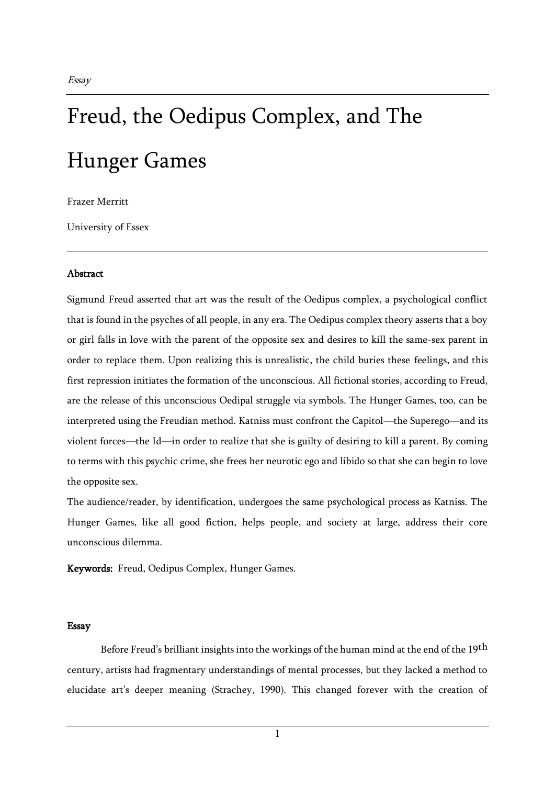## Freud, the Oedipus Complex, and The Hunger Games

Frazer Merritt

University of Essex

## **Abstract**

Sigmund Freud asserted that art was the result of the Oedipus complex, a psychological conflict that is found in the psyches of all people, in any era. The Oedipus complex theory asserts that a boy or girl falls in love with the parent of the opposite sex and desires to kill the same-sex parent in order to replace them. Upon realizing this is unrealistic, the child buries these feelings, and this first repression initiates the formation of the unconscious. All fictional stories, according to Freud, are the release of this unconscious Oedipal struggle via symbols. The Hunger Games, too, can be interpreted using the Freudian method. Katniss must confront the Capitol—the Superego—and its violent forces—the Id—in order to realize that she is guilty of desiring to kill a parent. By coming to terms with this psychic crime, she frees her neurotic ego and libido so that she can begin to love the opposite sex.

The audience/reader, by identification, undergoes the same psychological process as Katniss. The Hunger Games, like all good fiction, helps people, and society at large, address their core unconscious dilemma.

Keywords: Freud, Oedipus Complex, Hunger Games.

## Essay

Before Freud's brilliant insights into the workings of the human mind at the end of the 19<sup>th</sup> century, artists had fragmentary understandings of mental processes, but they lacked a method to elucidate art's deeper meaning (Strachey, 1990). This changed forever with the creation of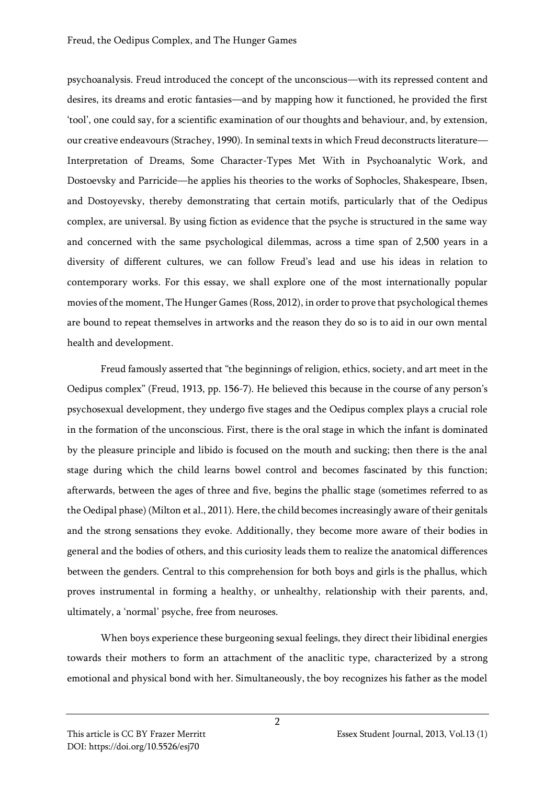psychoanalysis. Freud introduced the concept of the unconscious—with its repressed content and desires, its dreams and erotic fantasies—and by mapping how it functioned, he provided the first 'tool', one could say, for a scientific examination of our thoughts and behaviour, and, by extension, our creative endeavours (Strachey, 1990). In seminal texts in which Freud deconstructs literature— Interpretation of Dreams, Some Character-Types Met With in Psychoanalytic Work, and Dostoevsky and Parricide—he applies his theories to the works of Sophocles, Shakespeare, Ibsen, and Dostoyevsky, thereby demonstrating that certain motifs, particularly that of the Oedipus complex, are universal. By using fiction as evidence that the psyche is structured in the same way and concerned with the same psychological dilemmas, across a time span of 2,500 years in a diversity of different cultures, we can follow Freud's lead and use his ideas in relation to contemporary works. For this essay, we shall explore one of the most internationally popular movies of the moment, The Hunger Games (Ross, 2012), in order to prove that psychological themes are bound to repeat themselves in artworks and the reason they do so is to aid in our own mental health and development.

Freud famously asserted that "the beginnings of religion, ethics, society, and art meet in the Oedipus complex" (Freud, 1913, pp. 156-7). He believed this because in the course of any person's psychosexual development, they undergo five stages and the Oedipus complex plays a crucial role in the formation of the unconscious. First, there is the oral stage in which the infant is dominated by the pleasure principle and libido is focused on the mouth and sucking; then there is the anal stage during which the child learns bowel control and becomes fascinated by this function; afterwards, between the ages of three and five, begins the phallic stage (sometimes referred to as the Oedipal phase) (Milton et al., 2011). Here, the child becomes increasingly aware of their genitals and the strong sensations they evoke. Additionally, they become more aware of their bodies in general and the bodies of others, and this curiosity leads them to realize the anatomical differences between the genders. Central to this comprehension for both boys and girls is the phallus, which proves instrumental in forming a healthy, or unhealthy, relationship with their parents, and, ultimately, a 'normal' psyche, free from neuroses.

When boys experience these burgeoning sexual feelings, they direct their libidinal energies towards their mothers to form an attachment of the anaclitic type, characterized by a strong emotional and physical bond with her. Simultaneously, the boy recognizes his father as the model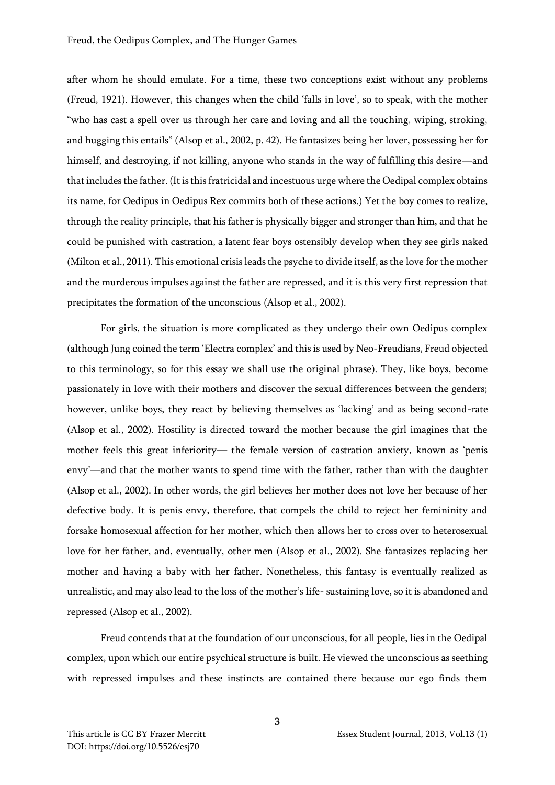after whom he should emulate. For a time, these two conceptions exist without any problems (Freud, 1921). However, this changes when the child 'falls in love', so to speak, with the mother "who has cast a spell over us through her care and loving and all the touching, wiping, stroking, and hugging this entails" (Alsop et al., 2002, p. 42). He fantasizes being her lover, possessing her for himself, and destroying, if not killing, anyone who stands in the way of fulfilling this desire—and that includes the father. (It is this fratricidal and incestuous urge where the Oedipal complex obtains its name, for Oedipus in Oedipus Rex commits both of these actions.) Yet the boy comes to realize, through the reality principle, that his father is physically bigger and stronger than him, and that he could be punished with castration, a latent fear boys ostensibly develop when they see girls naked (Milton et al., 2011). This emotional crisis leads the psyche to divide itself, as the love for the mother and the murderous impulses against the father are repressed, and it is this very first repression that precipitates the formation of the unconscious (Alsop et al., 2002).

For girls, the situation is more complicated as they undergo their own Oedipus complex (although Jung coined the term 'Electra complex' and this is used by Neo-Freudians, Freud objected to this terminology, so for this essay we shall use the original phrase). They, like boys, become passionately in love with their mothers and discover the sexual differences between the genders; however, unlike boys, they react by believing themselves as 'lacking' and as being second-rate (Alsop et al., 2002). Hostility is directed toward the mother because the girl imagines that the mother feels this great inferiority— the female version of castration anxiety, known as 'penis envy'—and that the mother wants to spend time with the father, rather than with the daughter (Alsop et al., 2002). In other words, the girl believes her mother does not love her because of her defective body. It is penis envy, therefore, that compels the child to reject her femininity and forsake homosexual affection for her mother, which then allows her to cross over to heterosexual love for her father, and, eventually, other men (Alsop et al., 2002). She fantasizes replacing her mother and having a baby with her father. Nonetheless, this fantasy is eventually realized as unrealistic, and may also lead to the loss of the mother's life- sustaining love, so it is abandoned and repressed (Alsop et al., 2002).

Freud contends that at the foundation of our unconscious, for all people, lies in the Oedipal complex, upon which our entire psychical structure is built. He viewed the unconscious as seething with repressed impulses and these instincts are contained there because our ego finds them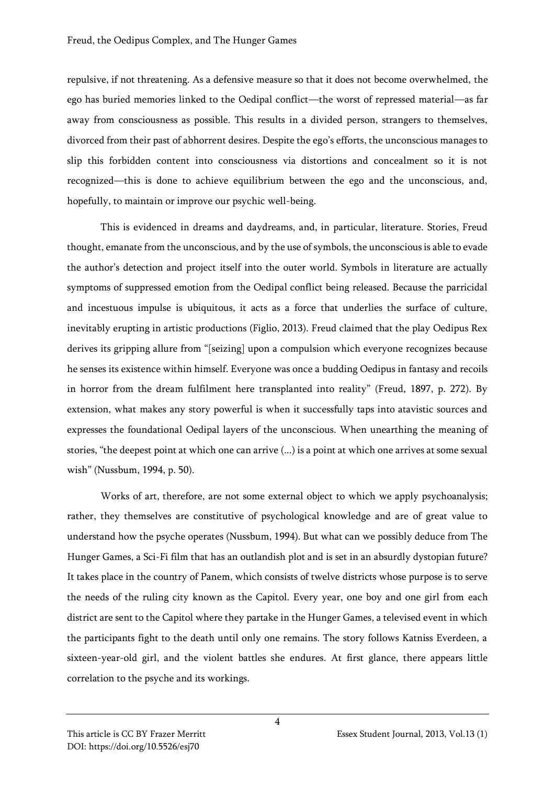repulsive, if not threatening. As a defensive measure so that it does not become overwhelmed, the ego has buried memories linked to the Oedipal conflict—the worst of repressed material—as far away from consciousness as possible. This results in a divided person, strangers to themselves, divorced from their past of abhorrent desires. Despite the ego's efforts, the unconscious manages to slip this forbidden content into consciousness via distortions and concealment so it is not recognized—this is done to achieve equilibrium between the ego and the unconscious, and, hopefully, to maintain or improve our psychic well-being.

This is evidenced in dreams and daydreams, and, in particular, literature. Stories, Freud thought, emanate from the unconscious, and by the use of symbols, the unconscious is able to evade the author's detection and project itself into the outer world. Symbols in literature are actually symptoms of suppressed emotion from the Oedipal conflict being released. Because the parricidal and incestuous impulse is ubiquitous, it acts as a force that underlies the surface of culture, inevitably erupting in artistic productions (Figlio, 2013). Freud claimed that the play Oedipus Rex derives its gripping allure from "[seizing] upon a compulsion which everyone recognizes because he senses its existence within himself. Everyone was once a budding Oedipus in fantasy and recoils in horror from the dream fulfilment here transplanted into reality" (Freud, 1897, p. 272). By extension, what makes any story powerful is when it successfully taps into atavistic sources and expresses the foundational Oedipal layers of the unconscious. When unearthing the meaning of stories, "the deepest point at which one can arrive (...) is a point at which one arrives at some sexual wish" (Nussbum, 1994, p. 50).

Works of art, therefore, are not some external object to which we apply psychoanalysis; rather, they themselves are constitutive of psychological knowledge and are of great value to understand how the psyche operates (Nussbum, 1994). But what can we possibly deduce from The Hunger Games, a Sci-Fi film that has an outlandish plot and is set in an absurdly dystopian future? It takes place in the country of Panem, which consists of twelve districts whose purpose is to serve the needs of the ruling city known as the Capitol. Every year, one boy and one girl from each district are sent to the Capitol where they partake in the Hunger Games, a televised event in which the participants fight to the death until only one remains. The story follows Katniss Everdeen, a sixteen-year-old girl, and the violent battles she endures. At first glance, there appears little correlation to the psyche and its workings.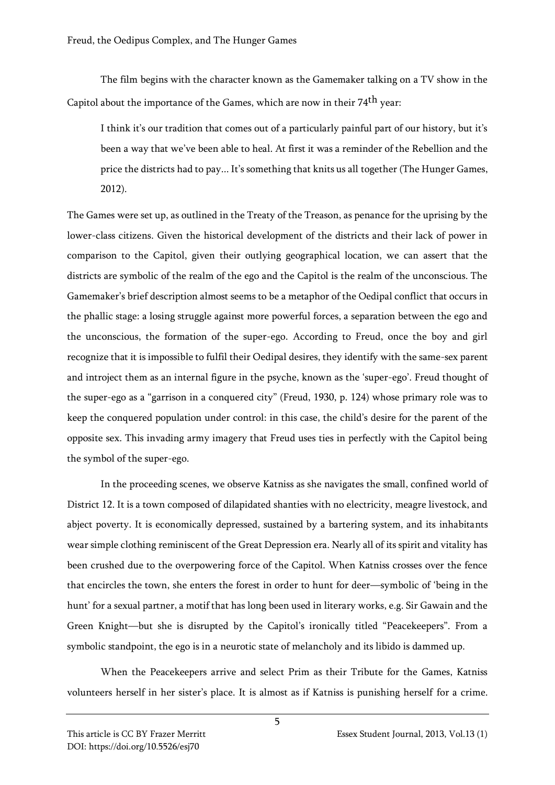The film begins with the character known as the Gamemaker talking on a TV show in the Capitol about the importance of the Games, which are now in their 74th year:

I think it's our tradition that comes out of a particularly painful part of our history, but it's been a way that we've been able to heal. At first it was a reminder of the Rebellion and the price the districts had to pay... It's something that knits us all together (The Hunger Games, 2012).

The Games were set up, as outlined in the Treaty of the Treason, as penance for the uprising by the lower-class citizens. Given the historical development of the districts and their lack of power in comparison to the Capitol, given their outlying geographical location, we can assert that the districts are symbolic of the realm of the ego and the Capitol is the realm of the unconscious. The Gamemaker's brief description almost seems to be a metaphor of the Oedipal conflict that occurs in the phallic stage: a losing struggle against more powerful forces, a separation between the ego and the unconscious, the formation of the super-ego. According to Freud, once the boy and girl recognize that it is impossible to fulfil their Oedipal desires, they identify with the same-sex parent and introject them as an internal figure in the psyche, known as the 'super-ego'. Freud thought of the super-ego as a "garrison in a conquered city" (Freud, 1930, p. 124) whose primary role was to keep the conquered population under control: in this case, the child's desire for the parent of the opposite sex. This invading army imagery that Freud uses ties in perfectly with the Capitol being the symbol of the super-ego.

In the proceeding scenes, we observe Katniss as she navigates the small, confined world of District 12. It is a town composed of dilapidated shanties with no electricity, meagre livestock, and abject poverty. It is economically depressed, sustained by a bartering system, and its inhabitants wear simple clothing reminiscent of the Great Depression era. Nearly all of its spirit and vitality has been crushed due to the overpowering force of the Capitol. When Katniss crosses over the fence that encircles the town, she enters the forest in order to hunt for deer—symbolic of 'being in the hunt' for a sexual partner, a motif that has long been used in literary works, e.g. Sir Gawain and the Green Knight—but she is disrupted by the Capitol's ironically titled "Peacekeepers". From a symbolic standpoint, the ego is in a neurotic state of melancholy and its libido is dammed up.

When the Peacekeepers arrive and select Prim as their Tribute for the Games, Katniss volunteers herself in her sister's place. It is almost as if Katniss is punishing herself for a crime.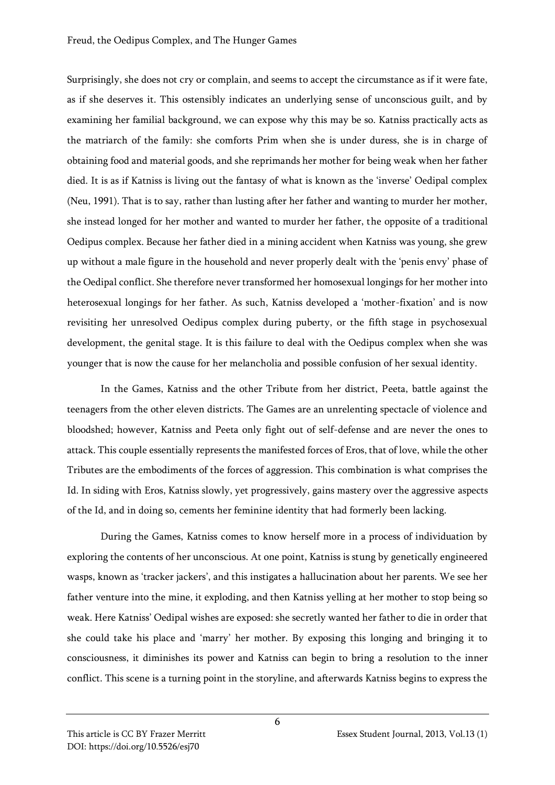Surprisingly, she does not cry or complain, and seems to accept the circumstance as if it were fate, as if she deserves it. This ostensibly indicates an underlying sense of unconscious guilt, and by examining her familial background, we can expose why this may be so. Katniss practically acts as the matriarch of the family: she comforts Prim when she is under duress, she is in charge of obtaining food and material goods, and she reprimands her mother for being weak when her father died. It is as if Katniss is living out the fantasy of what is known as the 'inverse' Oedipal complex (Neu, 1991). That is to say, rather than lusting after her father and wanting to murder her mother, she instead longed for her mother and wanted to murder her father, the opposite of a traditional Oedipus complex. Because her father died in a mining accident when Katniss was young, she grew up without a male figure in the household and never properly dealt with the 'penis envy' phase of the Oedipal conflict. She therefore never transformed her homosexual longings for her mother into heterosexual longings for her father. As such, Katniss developed a 'mother-fixation' and is now revisiting her unresolved Oedipus complex during puberty, or the fifth stage in psychosexual development, the genital stage. It is this failure to deal with the Oedipus complex when she was younger that is now the cause for her melancholia and possible confusion of her sexual identity.

In the Games, Katniss and the other Tribute from her district, Peeta, battle against the teenagers from the other eleven districts. The Games are an unrelenting spectacle of violence and bloodshed; however, Katniss and Peeta only fight out of self-defense and are never the ones to attack. This couple essentially represents the manifested forces of Eros, that of love, while the other Tributes are the embodiments of the forces of aggression. This combination is what comprises the Id. In siding with Eros, Katniss slowly, yet progressively, gains mastery over the aggressive aspects of the Id, and in doing so, cements her feminine identity that had formerly been lacking.

During the Games, Katniss comes to know herself more in a process of individuation by exploring the contents of her unconscious. At one point, Katniss is stung by genetically engineered wasps, known as 'tracker jackers', and this instigates a hallucination about her parents. We see her father venture into the mine, it exploding, and then Katniss yelling at her mother to stop being so weak. Here Katniss' Oedipal wishes are exposed: she secretly wanted her father to die in order that she could take his place and 'marry' her mother. By exposing this longing and bringing it to consciousness, it diminishes its power and Katniss can begin to bring a resolution to the inner conflict. This scene is a turning point in the storyline, and afterwards Katniss begins to express the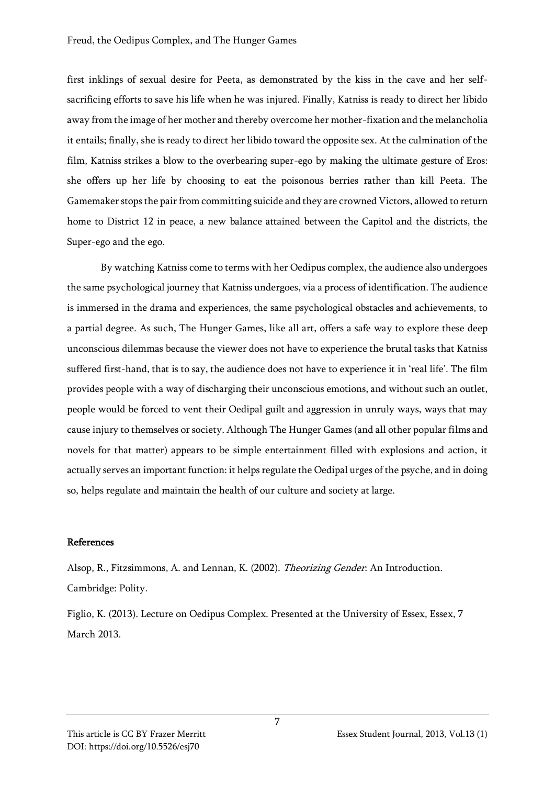first inklings of sexual desire for Peeta, as demonstrated by the kiss in the cave and her selfsacrificing efforts to save his life when he was injured. Finally, Katniss is ready to direct her libido away from the image of her mother and thereby overcome her mother-fixation and the melancholia it entails; finally, she is ready to direct her libido toward the opposite sex. At the culmination of the film, Katniss strikes a blow to the overbearing super-ego by making the ultimate gesture of Eros: she offers up her life by choosing to eat the poisonous berries rather than kill Peeta. The Gamemaker stops the pair from committing suicide and they are crowned Victors, allowed to return home to District 12 in peace, a new balance attained between the Capitol and the districts, the Super-ego and the ego.

By watching Katniss come to terms with her Oedipus complex, the audience also undergoes the same psychological journey that Katniss undergoes, via a process of identification. The audience is immersed in the drama and experiences, the same psychological obstacles and achievements, to a partial degree. As such, The Hunger Games, like all art, offers a safe way to explore these deep unconscious dilemmas because the viewer does not have to experience the brutal tasks that Katniss suffered first-hand, that is to say, the audience does not have to experience it in 'real life'. The film provides people with a way of discharging their unconscious emotions, and without such an outlet, people would be forced to vent their Oedipal guilt and aggression in unruly ways, ways that may cause injury to themselves or society. Although The Hunger Games (and all other popular films and novels for that matter) appears to be simple entertainment filled with explosions and action, it actually serves an important function: it helps regulate the Oedipal urges of the psyche, and in doing so, helps regulate and maintain the health of our culture and society at large.

## References

Alsop, R., Fitzsimmons, A. and Lennan, K. (2002). Theorizing Gender: An Introduction. Cambridge: Polity.

Figlio, K. (2013). Lecture on Oedipus Complex. Presented at the University of Essex, Essex, 7 March 2013.